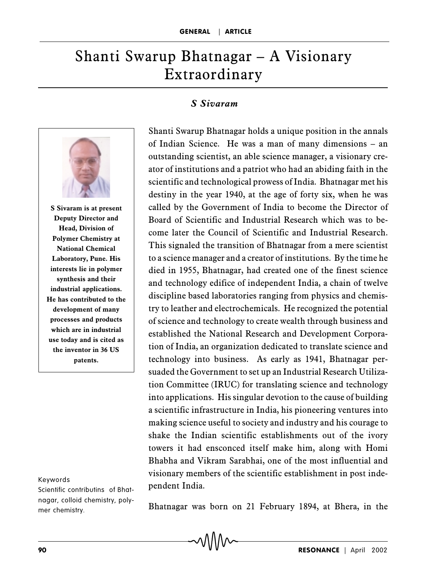## Shanti Swarup Bhatnagar - A Visionary Extraordinary





S Sivaram is at present **Deputy Director and** Head, Division of **Polymer Chemistry at National Chemical** Laboratory, Pune. His interests lie in polymer synthesis and their industrial applications. He has contributed to the development of many processes and products which are in industrial use today and is cited as the inventor in 36 US patents.

## Keywords

Scientific contributins of Bhatnagar, colloid chemistry, polymer chemistry.

Shanti Swarup Bhatnagar holds a unique position in the annals of Indian Science. He was a man of many dimensions - an outstanding scientist, an able science manager, a visionary creator of institutions and a patriot who had an abiding faith in the scientific and technological prowess of India. Bhatnagar met his destiny in the year 1940, at the age of forty six, when he was called by the Government of India to become the Director of Board of Scientific and Industrial Research which was to become later the Council of Scientific and Industrial Research. This signaled the transition of Bhatnagar from a mere scientist to a science manager and a creator of institutions. By the time he died in 1955, Bhatnagar, had created one of the finest science and technology edifice of independent India, a chain of twelve discipline based laboratories ranging from physics and chemistry to leather and electrochemicals. He recognized the potential of science and technology to create wealth through business and established the National Research and Development Corporation of India, an organization dedicated to translate science and technology into business. As early as 1941, Bhatnagar persuaded the Government to set up an Industrial Research Utilization Committee (IRUC) for translating science and technology into applications. His singular devotion to the cause of building a scientific infrastructure in India, his pioneering ventures into making science useful to society and industry and his courage to shake the Indian scientific establishments out of the ivory towers it had ensconced itself make him, along with Homi Bhabha and Vikram Sarabhai, one of the most influential and visionary members of the scientific establishment in post independent India.

Bhatnagar was born on 21 February 1894, at Bhera, in the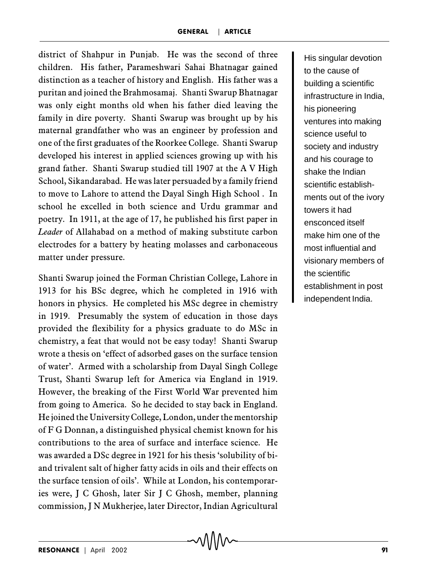district of Shahpur in Punjab. He was the second of three children. His father, Parameshwari Sahai Bhatnagar gained distinction as a teacher of history and English. His father was a puritan and joined the Brahmosamaj. Shanti Swarup Bhatnagar was only eight months old when his father died leaving the family in dire poverty. Shanti Swarup was brought up by his maternal grandfather who was an engineer by profession and one of the first graduates of the Roorkee College. Shanti Swarup developed his interest in applied sciences growing up with his grand father. Shanti Swarup studied till 1907 at the A V High School, Sikandarabad. He was later persuaded by a family friend to move to Lahore to attend the Dayal Singh High School. In school he excelled in both science and Urdu grammar and poetry. In 1911, at the age of 17, he published his first paper in Leader of Allahabad on a method of making substitute carbon electrodes for a battery by heating molasses and carbonaceous matter under pressure.

Shanti Swarup joined the Forman Christian College, Lahore in 1913 for his BSc degree, which he completed in 1916 with honors in physics. He completed his MSc degree in chemistry in 1919. Presumably the system of education in those days provided the flexibility for a physics graduate to do MSc in chemistry, a feat that would not be easy today! Shanti Swarup wrote a thesis on 'effect of adsorbed gases on the surface tension of water'. Armed with a scholarship from Dayal Singh College Trust, Shanti Swarup left for America via England in 1919. However, the breaking of the First World War prevented him from going to America. So he decided to stay back in England. He joined the University College, London, under the mentorship of F G Donnan, a distinguished physical chemist known for his contributions to the area of surface and interface science. He was awarded a DSc degree in 1921 for his thesis 'solubility of biand trivalent salt of higher fatty acids in oils and their effects on the surface tension of oils'. While at London, his contemporaries were, J C Ghosh, later Sir J C Ghosh, member, planning commission, J N Mukherjee, later Director, Indian Agricultural His singular devotion to the cause of building a scientific infrastructure in India, his pioneering ventures into making science useful to society and industry and his courage to shake the Indian scientific establishments out of the ivory towers it had ensconced itself make him one of the most influential and visionary members of the scientific establishment in post independent India.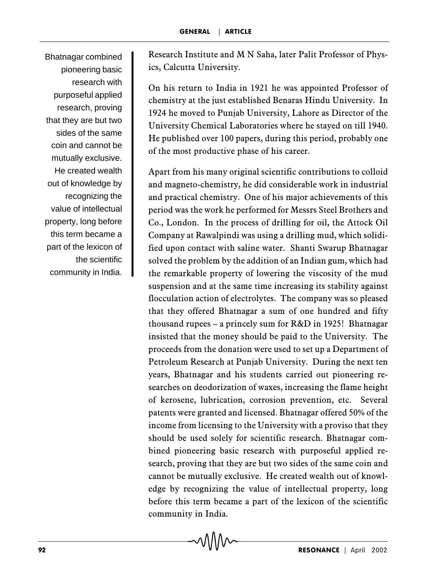Bhatnagar combined pioneering basic research with purposeful applied research, proving that they are but two sides of the same coin and cannot be mutually exclusive. He created wealth out of knowledge by recognizing the value of intellectual property, long before this term became a part of the lexicon of the scientific community in India.

Research Institute and M N Saha, later Palit Professor of Physics, Calcutta University.

On his return to India in 1921 he was appointed Professor of chemistry at the just established Benaras Hindu University. In 1924 he moved to Punjab University, Lahore as Director of the University Chemical Laboratories where he stayed on till 1940. He published over 100 papers, during this period, probably one of the most productive phase of his career.

Apart from his many original scientific contributions to colloid and magneto-chemistry, he did considerable work in industrial and practical chemistry. One of his major achievements of this period was the work he performed for Messrs Steel Brothers and Co., London. In the process of drilling for oil, the Attock Oil Company at Rawalpindi was using a drilling mud, which solidified upon contact with saline water. Shanti Swarup Bhatnagar solved the problem by the addition of an Indian gum, which had the remarkable property of lowering the viscosity of the mud suspension and at the same time increasing its stability against flocculation action of electrolytes. The company was so pleased that they offered Bhatnagar a sum of one hundred and fifty thousand rupees  $-$  a princely sum for  $R&D$  in 1925! Bhatnagar insisted that the money should be paid to the University. The proceeds from the donation were used to set up a Department of Petroleum Research at Punjab University. During the next ten years, Bhatnagar and his students carried out pioneering researches on deodorization of waxes, increasing the flame height of kerosene, lubrication, corrosion prevention, etc. Several patents were granted and licensed. Bhatnagar offered 50% of the income from licensing to the University with a proviso that they should be used solely for scientific research. Bhatnagar combined pioneering basic research with purposeful applied research, proving that they are but two sides of the same coin and cannot be mutually exclusive. He created wealth out of knowledge by recognizing the value of intellectual property, long before this term became a part of the lexicon of the scientific community in India.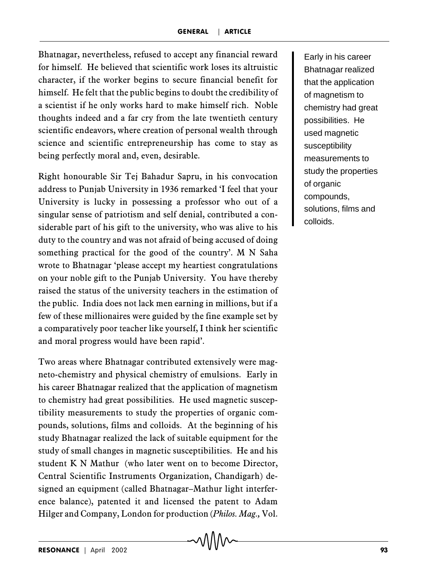Bhatnagar, nevertheless, refused to accept any financial reward for himself. He believed that scientific work loses its altruistic character, if the worker begins to secure financial benefit for himself. He felt that the public begins to doubt the credibility of a scientist if he only works hard to make himself rich. Noble thoughts indeed and a far cry from the late twentieth century scientific endeavors, where creation of personal wealth through science and scientific entrepreneurship has come to stay as being perfectly moral and, even, desirable.

Right honourable Sir Tej Bahadur Sapru, in his convocation address to Punjab University in 1936 remarked 'I feel that your University is lucky in possessing a professor who out of a singular sense of patriotism and self denial, contributed a considerable part of his gift to the university, who was alive to his duty to the country and was not afraid of being accused of doing something practical for the good of the country'. M N Saha wrote to Bhatnagar 'please accept my heartiest congratulations on your noble gift to the Punjab University. You have thereby raised the status of the university teachers in the estimation of the public. India does not lack men earning in millions, but if a few of these millionaires were guided by the fine example set by a comparatively poor teacher like yourself, I think her scientific and moral progress would have been rapid'.

Two areas where Bhatnagar contributed extensively were magneto-chemistry and physical chemistry of emulsions. Early in his career Bhatnagar realized that the application of magnetism to chemistry had great possibilities. He used magnetic susceptibility measurements to study the properties of organic compounds, solutions, films and colloids. At the beginning of his study Bhatnagar realized the lack of suitable equipment for the study of small changes in magnetic susceptibilities. He and his student K N Mathur (who later went on to become Director, Central Scientific Instruments Organization, Chandigarh) designed an equipment (called Bhatnagar–Mathur light interference balance), patented it and licensed the patent to Adam Hilger and Company, London for production (Philos. Mag., Vol. Early in his career Bhatnagar realized that the application of magnetism to chemistry had great possibilities. He used magnetic susceptibility measurements to study the properties of organic compounds, solutions, films and colloids.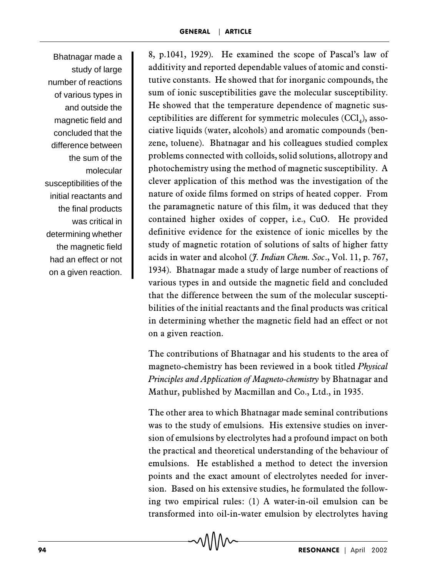Bhatnagar made a study of large number of reactions of various types in and outside the magnetic field and concluded that the difference between the sum of the molecular susceptibilities of the initial reactants and the final products was critical in determining whether the magnetic field had an effect or not on a given reaction.

8, p.1041, 1929). He examined the scope of Pascal's law of additivity and reported dependable values of atomic and constitutive constants. He showed that for inorganic compounds, the sum of ionic susceptibilities gave the molecular susceptibility. He showed that the temperature dependence of magnetic susceptibilities are different for symmetric molecules (CCl<sub>a</sub>), associative liquids (water, alcohols) and aromatic compounds (benzene, toluene). Bhatnagar and his colleagues studied complex problems connected with colloids, solid solutions, allotropy and photochemistry using the method of magnetic susceptibility. A clever application of this method was the investigation of the nature of oxide films formed on strips of heated copper. From the paramagnetic nature of this film, it was deduced that they contained higher oxides of copper, i.e., CuO. He provided definitive evidence for the existence of ionic micelles by the study of magnetic rotation of solutions of salts of higher fatty acids in water and alcohol (*J. Indian Chem. Soc.*, Vol. 11, p. 767, 1934). Bhatnagar made a study of large number of reactions of various types in and outside the magnetic field and concluded that the difference between the sum of the molecular susceptibilities of the initial reactants and the final products was critical in determining whether the magnetic field had an effect or not on a given reaction.

The contributions of Bhatnagar and his students to the area of magneto-chemistry has been reviewed in a book titled *Physical* Principles and Application of Magneto-chemistry by Bhatnagar and Mathur, published by Macmillan and Co., Ltd., in 1935.

The other area to which Bhatnagar made seminal contributions was to the study of emulsions. His extensive studies on inversion of emulsions by electrolytes had a profound impact on both the practical and theoretical understanding of the behaviour of emulsions. He established a method to detect the inversion points and the exact amount of electrolytes needed for inversion. Based on his extensive studies, he formulated the following two empirical rules: (1) A water-in-oil emulsion can be transformed into oil-in-water emulsion by electrolytes having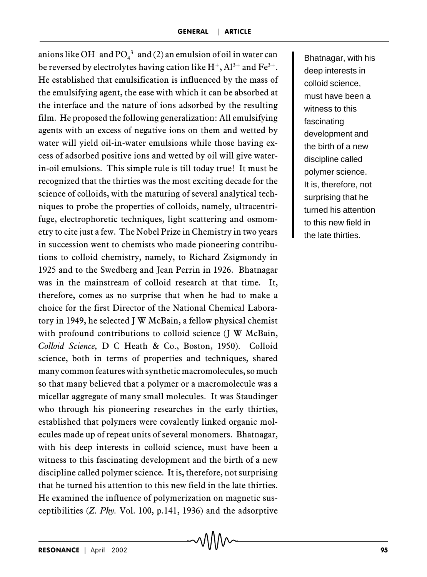anions like OH<sup>-</sup> and PO $^{3-}$  and (2) an emulsion of oil in water can be reversed by electrolytes having cation like  $H^+$ ,  $Al^{3+}$  and  $Fe^{3+}$ . He established that emulsification is influenced by the mass of the emulsifying agent, the ease with which it can be absorbed at the interface and the nature of ions adsorbed by the resulting film. He proposed the following generalization: All emulsifying agents with an excess of negative ions on them and wetted by water will yield oil-in-water emulsions while those having excess of adsorbed positive ions and wetted by oil will give waterin-oil emulsions. This simple rule is till today true! It must be recognized that the thirties was the most exciting decade for the science of colloids, with the maturing of several analytical techniques to probe the properties of colloids, namely, ultracentrifuge, electrophoretic techniques, light scattering and osmometry to cite just a few. The Nobel Prize in Chemistry in two years in succession went to chemists who made pioneering contributions to colloid chemistry, namely, to Richard Zsigmondy in 1925 and to the Swedberg and Jean Perrin in 1926. Bhatnagar was in the mainstream of colloid research at that time. It, therefore, comes as no surprise that when he had to make a choice for the first Director of the National Chemical Laboratory in 1949, he selected J W McBain, a fellow physical chemist with profound contributions to colloid science (J W McBain, Colloid Science, D C Heath & Co., Boston, 1950). Colloid science, both in terms of properties and techniques, shared many common features with synthetic macromolecules, so much so that many believed that a polymer or a macromolecule was a micellar aggregate of many small molecules. It was Staudinger who through his pioneering researches in the early thirties, established that polymers were covalently linked organic molecules made up of repeat units of several monomers. Bhatnagar, with his deep interests in colloid science, must have been a witness to this fascinating development and the birth of a new discipline called polymer science. It is, therefore, not surprising that he turned his attention to this new field in the late thirties. He examined the influence of polymerization on magnetic susceptibilities  $(Z. Phy. Vol. 100, p.141, 1936)$  and the adsorptive

Bhatnagar, with his deep interests in colloid science must have been a witness to this fascinating development and the birth of a new discipline called polymer science. It is, therefore, not surprising that he turned his attention to this new field in the late thirties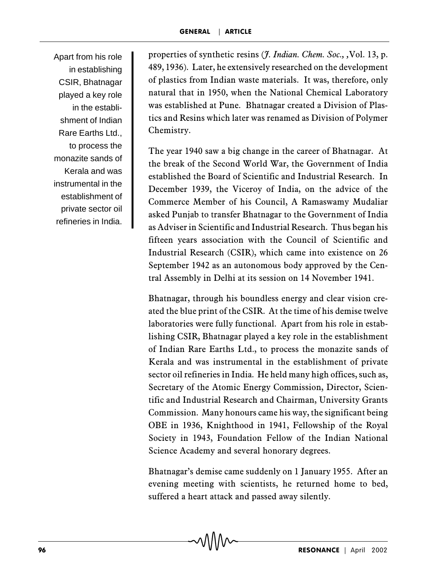Apart from his role in establishing CSIR, Bhatnagar played a key role in the establishment of Indian Rare Earths Ltd., to process the monazite sands of Kerala and was instrumental in the establishment of private sector oil refineries in India. properties of synthetic resins (*J. Indian. Chem. Soc.*, , Vol. 13, p. 489, 1936). Later, he extensively researched on the development of plastics from Indian waste materials. It was, therefore, only natural that in 1950, when the National Chemical Laboratory was established at Pune. Bhatnagar created a Division of Plastics and Resins which later was renamed as Division of Polymer Chemistry.

The year 1940 saw a big change in the career of Bhatnagar. At the break of the Second World War, the Government of India established the Board of Scientific and Industrial Research. In December 1939, the Viceroy of India, on the advice of the Commerce Member of his Council, A Ramaswamy Mudaliar asked Punjab to transfer Bhatnagar to the Government of India as Adviser in Scientific and Industrial Research. Thus began his fifteen years association with the Council of Scientific and Industrial Research (CSIR), which came into existence on 26 September 1942 as an autonomous body approved by the Central Assembly in Delhi at its session on 14 November 1941.

Bhatnagar, through his boundless energy and clear vision created the blue print of the CSIR. At the time of his demise twelve laboratories were fully functional. Apart from his role in establishing CSIR, Bhatnagar played a key role in the establishment of Indian Rare Earths Ltd., to process the monazite sands of Kerala and was instrumental in the establishment of private sector oil refineries in India. He held many high offices, such as, Secretary of the Atomic Energy Commission, Director, Scientific and Industrial Research and Chairman, University Grants Commission. Many honours came his way, the significant being OBE in 1936, Knighthood in 1941, Fellowship of the Royal Society in 1943, Foundation Fellow of the Indian National Science Academy and several honorary degrees.

Bhatnagar's demise came suddenly on 1 January 1955. After an evening meeting with scientists, he returned home to bed, suffered a heart attack and passed away silently.